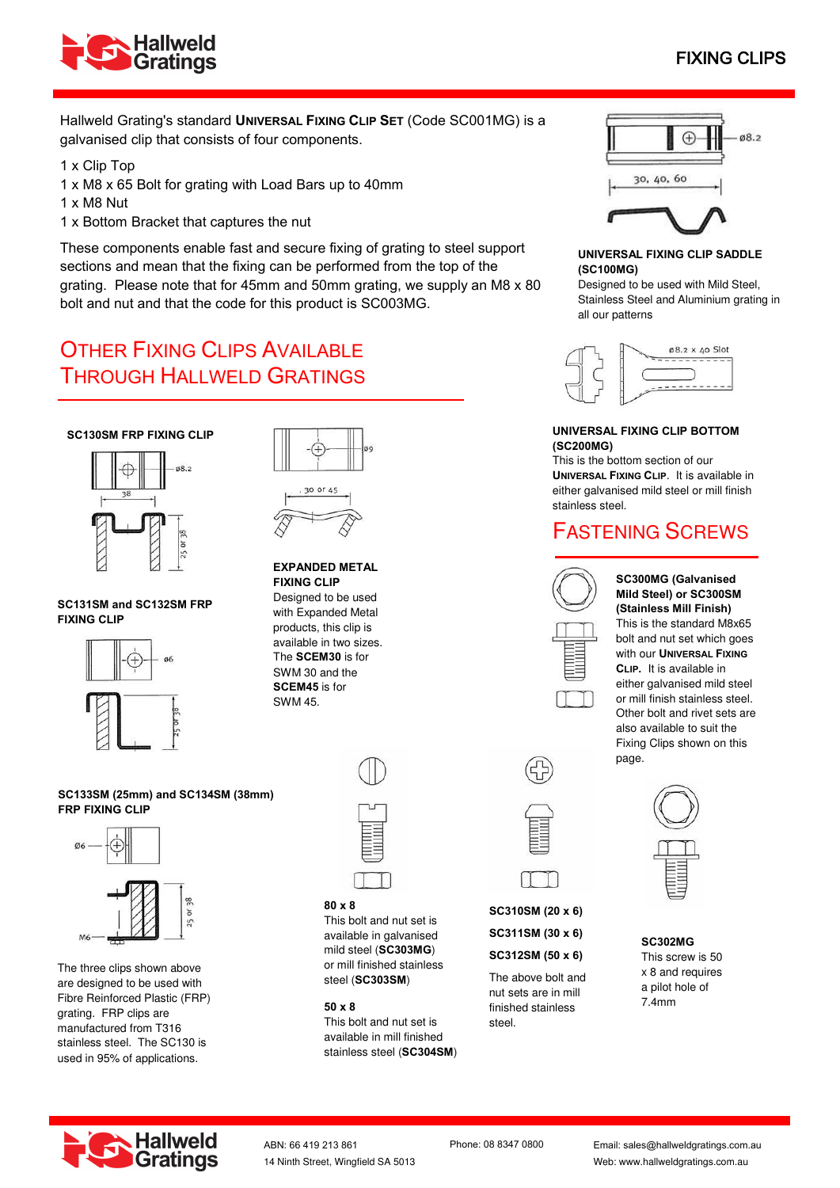

# FIXING CLIPS

Hallweld Grating's standard **UNIVERSAL FIXING CLIP SET** (Code SC001MG) is a galvanised clip that consists of four components.

1 x Clip Top

- 1 x M8 x 65 Bolt for grating with Load Bars up to 40mm
- 1 x M8 Nut
- 1 x Bottom Bracket that captures the nut

These components enable fast and secure fixing of grating to steel support sections and mean that the fixing can be performed from the top of the grating. Please note that for 45mm and 50mm grating, we supply an M8 x 80 bolt and nut and that the code for this product is SC003MG.

# OTHER FIXING CLIPS AVAILABLE THROUGH HALLWELD GRATINGS

### **SC130SM FRP FIXING CLIP**



#### **SC131SM and SC132SM FRP FIXING CLIP**





#### **EXPANDED METAL FIXING CLIP**

Designed to be used with Expanded Metal products, this clip is available in two sizes. The **SCEM30** is for SWM 30 and the **SCEM45** is for SWM 45.





The three clips shown above are designed to be used with Fibre Reinforced Plastic (FRP) grating. FRP clips are manufactured from T316 stainless steel. The SC130 is used in 95% of applications.



#### **80 x 8**

This bolt and nut set is available in galvanised mild steel (**SC303MG**) or mill finished stainless steel (**SC303SM**)

### **50 x 8**

This bolt and nut set is available in mill finished stainless steel (**SC304SM**)



**SC310SM (20 x 6)** 

**SC311SM (30 x 6) SC312SM (50 x 6)** 

The above bolt and

nut sets are in mill finished stainless steel.



## **UNIVERSAL FIXING CLIP SADDLE (SC100MG)**

Designed to be used with Mild Steel, Stainless Steel and Aluminium grating in all our patterns



#### **UNIVERSAL FIXING CLIP BOTTOM (SC200MG)**

This is the bottom section of our **UNIVERSAL FIXING CLIP**. It is available in either galvanised mild steel or mill finish stainless steel.

# FASTENING SCREWS



**SC300MG (Galvanised Mild Steel) or SC300SM (Stainless Mill Finish)**  This is the standard M8x65 bolt and nut set which goes with our **UNIVERSAL FIXING CLIP.** It is available in either galvanised mild steel or mill finish stainless steel. Other bolt and rivet sets are also available to suit the Fixing Clips shown on this page.



**SC302MG**  This screw is 50 x 8 and requires a pilot hole of 7.4mm



ABN: 66 419 213 861 Phone: 08 8347 0800 14 Ninth Street, Wingfield SA 5013

Email: sales@hallweldgratings.com.au Web: www.hallweldgratings.com.au